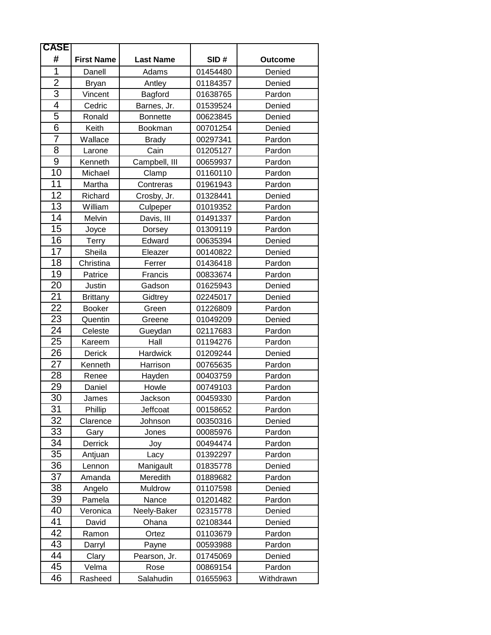| <b>CASE</b>    |                   |                  |          |           |
|----------------|-------------------|------------------|----------|-----------|
| #              | <b>First Name</b> | <b>Last Name</b> | SID#     | Outcome   |
| 1              | Danell            | Adams            | 01454480 | Denied    |
| $\overline{2}$ | <b>Bryan</b>      | Antley           | 01184357 | Denied    |
| $\overline{3}$ | Vincent           | Bagford          | 01638765 | Pardon    |
| $\overline{4}$ | Cedric            | Barnes, Jr.      | 01539524 | Denied    |
| $\overline{5}$ | Ronald            | <b>Bonnette</b>  | 00623845 | Denied    |
| 6              | Keith             | Bookman          | 00701254 | Denied    |
| $\overline{7}$ | Wallace           | <b>Brady</b>     | 00297341 | Pardon    |
| 8              | Larone            | Cain             | 01205127 | Pardon    |
| 9              | Kenneth           | Campbell, III    | 00659937 | Pardon    |
| 10             | Michael           | Clamp            | 01160110 | Pardon    |
| 11             | Martha            | Contreras        | 01961943 | Pardon    |
| 12             | Richard           | Crosby, Jr.      | 01328441 | Denied    |
| 13             | William           | Culpeper         | 01019352 | Pardon    |
| 14             | Melvin            | Davis, III       | 01491337 | Pardon    |
| 15             | Joyce             | Dorsey           | 01309119 | Pardon    |
| 16             | <b>Terry</b>      | Edward           | 00635394 | Denied    |
| 17             | Sheila            | Eleazer          | 00140822 | Denied    |
| 18             | Christina         | Ferrer           | 01436418 | Pardon    |
| 19             | Patrice           | Francis          | 00833674 | Pardon    |
| 20             | Justin            | Gadson           | 01625943 | Denied    |
| 21             | <b>Brittany</b>   | Gidtrey          | 02245017 | Denied    |
| 22             | <b>Booker</b>     | Green            | 01226809 | Pardon    |
| 23             | Quentin           | Greene           | 01049209 | Denied    |
| 24             | Celeste           | Gueydan          | 02117683 | Pardon    |
| 25             | Kareem            | Hall             | 01194276 | Pardon    |
| 26             | Derick            | Hardwick         | 01209244 | Denied    |
| 27             | Kenneth           | Harrison         | 00765635 | Pardon    |
| 28             | Renee             | Hayden           | 00403759 | Pardon    |
| 29             | Daniel            | Howle            | 00749103 | Pardon    |
| 30             | James             | Jackson          | 00459330 | Pardon    |
| 31             | Phillip           | Jeffcoat         | 00158652 | Pardon    |
| 32             | Clarence          | Johnson          | 00350316 | Denied    |
| 33             | Gary              | Jones            | 00085976 | Pardon    |
| 34             | Derrick           | Joy              | 00494474 | Pardon    |
| 35             | Antjuan           | Lacy             | 01392297 | Pardon    |
| 36             | Lennon            | Manigault        | 01835778 | Denied    |
| 37             | Amanda            | Meredith         | 01889682 | Pardon    |
| 38             | Angelo            | Muldrow          | 01107598 | Denied    |
| 39             | Pamela            | Nance            | 01201482 | Pardon    |
| 40             | Veronica          | Neely-Baker      | 02315778 | Denied    |
| 41             | David             | Ohana            | 02108344 | Denied    |
| 42             | Ramon             | Ortez            | 01103679 | Pardon    |
| 43             | Darryl            | Payne            | 00593988 | Pardon    |
| 44             | Clary             | Pearson, Jr.     | 01745069 | Denied    |
| 45             | Velma             | Rose             | 00869154 | Pardon    |
| 46             | Rasheed           | Salahudin        | 01655963 | Withdrawn |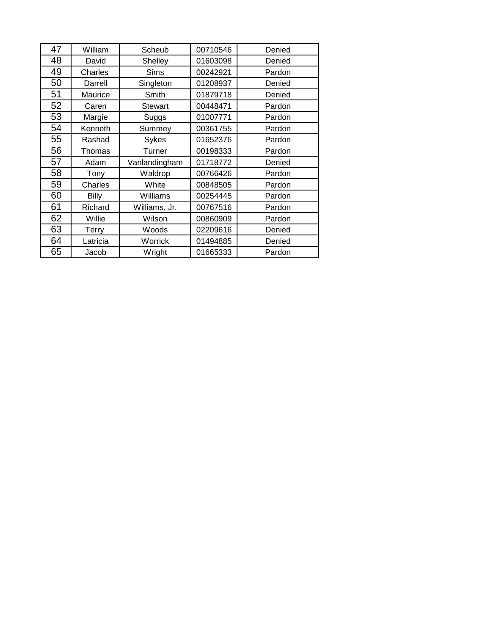| 47 | William      | Scheub        | 00710546 | Denied |
|----|--------------|---------------|----------|--------|
| 48 | David        | Shelley       | 01603098 | Denied |
| 49 | Charles      | <b>Sims</b>   | 00242921 | Pardon |
| 50 | Darrell      | Singleton     | 01208937 | Denied |
| 51 | Maurice      | Smith         | 01879718 | Denied |
| 52 | Caren        | Stewart       | 00448471 | Pardon |
| 53 | Margie       | Suggs         | 01007771 | Pardon |
| 54 | Kenneth      | Summey        | 00361755 | Pardon |
| 55 | Rashad       | Sykes         | 01652376 | Pardon |
| 56 | Thomas       | Turner        | 00198333 | Pardon |
| 57 | Adam         | Vanlandingham | 01718772 | Denied |
| 58 | Tony         | Waldrop       | 00766426 | Pardon |
| 59 | Charles      | White         | 00848505 | Pardon |
| 60 | <b>Billy</b> | Williams      | 00254445 | Pardon |
| 61 | Richard      | Williams, Jr. | 00767516 | Pardon |
| 62 | Willie       | Wilson        | 00860909 | Pardon |
| 63 | <b>Terry</b> | Woods         | 02209616 | Denied |
| 64 | Latricia     | Worrick       | 01494885 | Denied |
| 65 | Jacob        | Wright        | 01665333 | Pardon |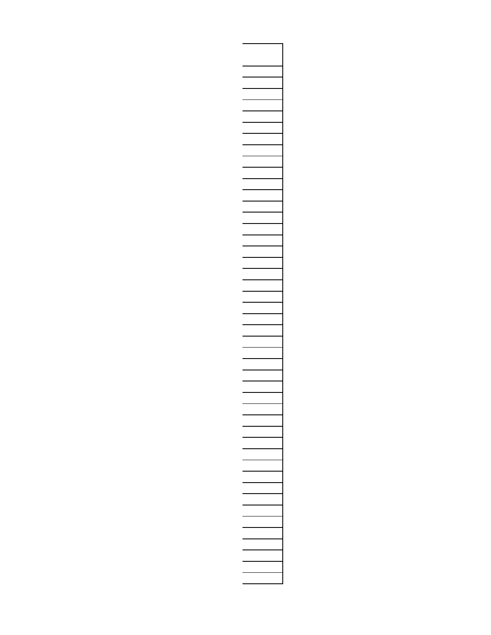